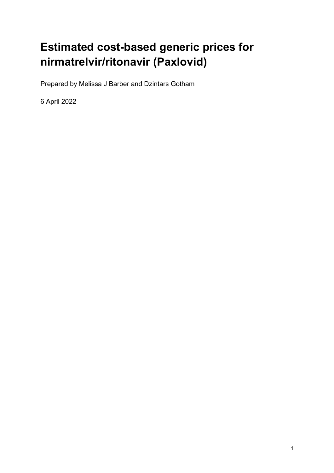# **Estimated cost-based generic prices for nirmatrelvir/ritonavir (Paxlovid)**

Prepared by Melissa J Barber and Dzintars Gotham

6 April 2022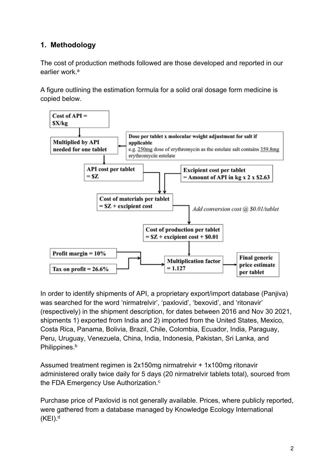## **1. Methodology**

The cost of production methods followed are those developed and reported in our earlier work<sup>a</sup>

A figure outlining the estimation formula for a solid oral dosage form medicine is copied below.



In order to identify shipments of API, a proprietary export/import database (Panjiva) was searched for the word 'nirmatrelvir', 'paxlovid', 'bexovid', and 'ritonavir' (respectively) in the shipment description, for dates between 2016 and Nov 30 2021, shipments 1) exported from India and 2) imported from the United States, Mexico, Costa Rica, Panama, Bolivia, Brazil, Chile, Colombia, Ecuador, India, Paraguay, Peru, Uruguay, Venezuela, China, India, Indonesia, Pakistan, Sri Lanka, and Philippines.<sup>b</sup>

Assumed treatment regimen is 2x150mg nirmatrelvir + 1x100mg ritonavir administered orally twice daily for 5 days (20 nirmatrelvir tablets total), sourced from the FDA Emergency Use Authorization.<sup>c</sup>

Purchase price of Paxlovid is not generally available. Prices, where publicly reported, were gathered from a database managed by Knowledge Ecology International  $(KEI).<sup>d</sup>$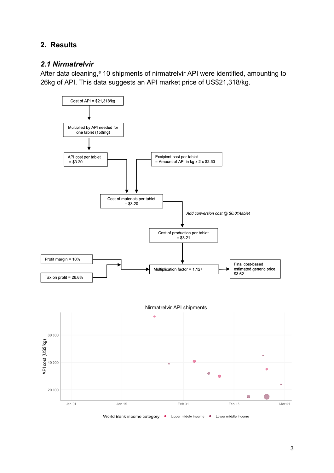## **2. Results**

#### *2.1 Nirmatrelvir*

After data cleaning,<sup>e</sup> 10 shipments of nirmatrelvir API were identified, amounting to 26kg of API. This data suggests an API market price of US\$21,318/kg.

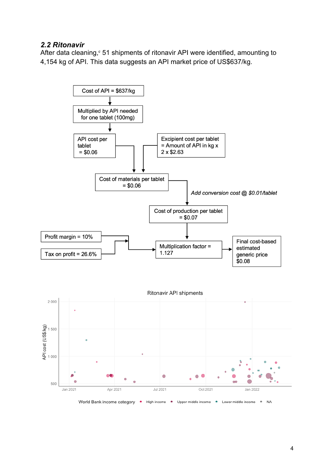#### *2.2 Ritonavir*

After data cleaning, $e$  51 shipments of ritonavir API were identified, amounting to 4,154 kg of API. This data suggests an API market price of US\$637/kg.

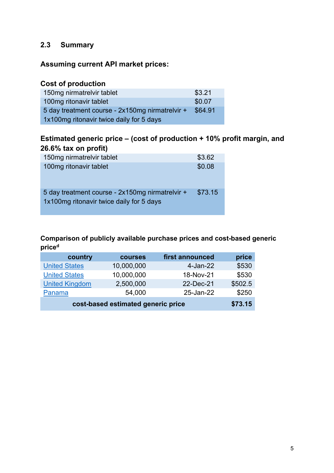### **2.3 Summary**

#### **Assuming current API market prices:**

#### **Cost of production**

| 150mg nirmatrelvir tablet                       | \$3.21  |  |
|-------------------------------------------------|---------|--|
| 100mg ritonavir tablet                          | \$0.07  |  |
| 5 day treatment course - 2x150mg nirmatrelvir + | \$64.91 |  |
| 1x100mg ritonavir twice daily for 5 days        |         |  |

## **Estimated generic price – (cost of production + 10% profit margin, and 26.6% tax on profit)**

| 150mg nirmatrelvir tablet                                                                   | \$3.62  |
|---------------------------------------------------------------------------------------------|---------|
| 100mg ritonavir tablet                                                                      | \$0.08  |
| 5 day treatment course - 2x150mg nirmatrelvir +<br>1x100mg ritonavir twice daily for 5 days | \$73.15 |

#### **Comparison of publicly available purchase prices and cost-based generic priced**

| country                            | <b>courses</b> | first announced | price   |
|------------------------------------|----------------|-----------------|---------|
| <b>United States</b>               | 10,000,000     | 4-Jan-22        | \$530   |
| <b>United States</b>               | 10,000,000     | 18-Nov-21       | \$530   |
| <b>United Kingdom</b>              | 2,500,000      | 22-Dec-21       | \$502.5 |
| Panama                             | 54,000         | 25-Jan-22       | \$250   |
| cost-based estimated generic price | \$73.15        |                 |         |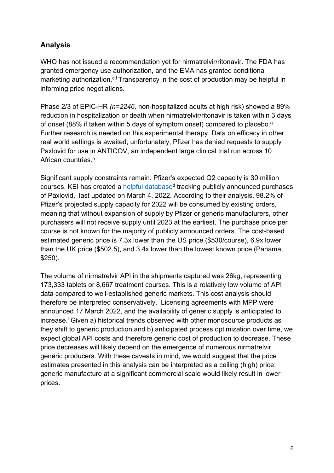## **Analysis**

WHO has not issued a recommendation yet for nirmatrelvir/ritonavir. The FDA has granted emergency use authorization, and the EMA has granted conditional marketing authorization.<sup>c,f</sup> Transparency in the cost of production may be helpful in informing price negotiations.

Phase 2/3 of EPIC-HR *(n=2246,* non-hospitalized adults at high risk) showed a 89% reduction in hospitalization or death when nirmatrelvir/ritonavir is taken within 3 days of onset (88% if taken within 5 days of symptom onset) compared to placebo.g Further research is needed on this experimental therapy. Data on efficacy in other real world settings is awaited; unfortunately, Pfizer has denied requests to supply Paxlovid for use in ANTICOV, an independent large clinical trial run across 10 African countries.<sup>h</sup>

Significant supply constraints remain. Pfizer's expected Q2 capacity is 30 million courses. KEI has created a helpful database<sup>d</sup> tracking publicly announced purchases of Paxlovid, last updated on March 4, 2022. According to their analysis, 98.2% of Pfizer's projected supply capacity for 2022 will be consumed by existing orders, meaning that without expansion of supply by Pfizer or generic manufacturers, other purchasers will not receive supply until 2023 at the earliest. The purchase price per course is not known for the majority of publicly announced orders. The cost-based estimated generic price is 7.3x lower than the US price (\$530/course), 6.9x lower than the UK price (\$502.5), and 3.4x lower than the lowest known price (Panama, \$250).

The volume of nirmatrelvir API in the shipments captured was 26kg, representing 173,333 tablets or 8,667 treatment courses. This is a relatively low volume of API data compared to well-established generic markets. This cost analysis should therefore be interpreted conservatively. Licensing agreements with MPP were announced 17 March 2022, and the availability of generic supply is anticipated to increase.<sup>i</sup> Given a) historical trends observed with other monosource products as they shift to generic production and b) anticipated process optimization over time, we expect global API costs and therefore generic cost of production to decrease. These price decreases will likely depend on the emergence of numerous nirmatrelvir generic producers. With these caveats in mind, we would suggest that the price estimates presented in this analysis can be interpreted as a ceiling (high) price; generic manufacture at a significant commercial scale would likely result in lower prices.